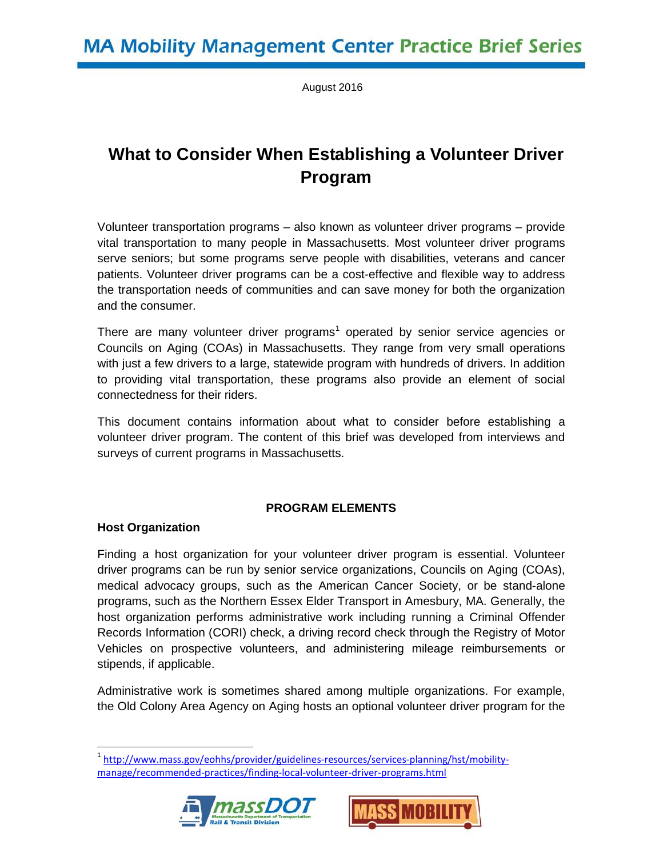August 2016

# **What to Consider When Establishing a Volunteer Driver Program**

Volunteer transportation programs – also known as volunteer driver programs – provide vital transportation to many people in Massachusetts. Most volunteer driver programs serve seniors; but some programs serve people with disabilities, veterans and cancer patients. Volunteer driver programs can be a cost-effective and flexible way to address the transportation needs of communities and can save money for both the organization and the consumer.

There are many volunteer driver programs<sup>[1](#page-0-0)</sup> operated by senior service agencies or Councils on Aging (COAs) in Massachusetts. They range from very small operations with just a few drivers to a large, statewide program with hundreds of drivers. In addition to providing vital transportation, these programs also provide an element of social connectedness for their riders.

This document contains information about what to consider before establishing a volunteer driver program. The content of this brief was developed from interviews and surveys of current programs in Massachusetts.

# **PROGRAM ELEMENTS**

# **Host Organization**

 $\overline{a}$ 

Finding a host organization for your volunteer driver program is essential. Volunteer driver programs can be run by senior service organizations, Councils on Aging (COAs), medical advocacy groups, such as the American Cancer Society, or be stand-alone programs, such as the Northern Essex Elder Transport in Amesbury, MA. Generally, the host organization performs administrative work including running a Criminal Offender Records Information (CORI) check, a driving record check through the Registry of Motor Vehicles on prospective volunteers, and administering mileage reimbursements or stipends, if applicable.

Administrative work is sometimes shared among multiple organizations. For example, the Old Colony Area Agency on Aging hosts an optional volunteer driver program for the

<span id="page-0-0"></span><sup>&</sup>lt;sup>1</sup> [http://www.mass.gov/eohhs/provider/guidelines-resources/services-planning/hst/mobility](http://www.mass.gov/eohhs/provider/guidelines-resources/services-planning/hst/mobility-manage/recommended-practices/finding-local-volunteer-driver-programs.html)[manage/recommended-practices/finding-local-volunteer-driver-programs.html](http://www.mass.gov/eohhs/provider/guidelines-resources/services-planning/hst/mobility-manage/recommended-practices/finding-local-volunteer-driver-programs.html) 



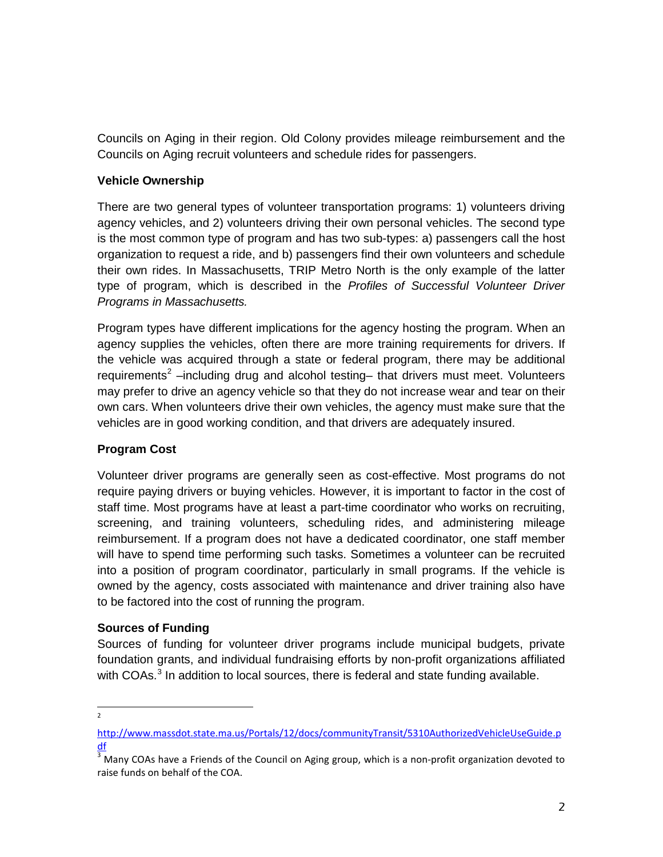Councils on Aging in their region. Old Colony provides mileage reimbursement and the Councils on Aging recruit volunteers and schedule rides for passengers.

# **Vehicle Ownership**

There are two general types of volunteer transportation programs: 1) volunteers driving agency vehicles, and 2) volunteers driving their own personal vehicles. The second type is the most common type of program and has two sub-types: a) passengers call the host organization to request a ride, and b) passengers find their own volunteers and schedule their own rides. In Massachusetts, TRIP Metro North is the only example of the latter type of program, which is described in the *Profiles of Successful Volunteer Driver Programs in Massachusetts.*

Program types have different implications for the agency hosting the program. When an agency supplies the vehicles, often there are more training requirements for drivers. If the vehicle was acquired through a state or federal program, there may be additional requirements<sup>[2](#page-1-0)</sup> –including drug and alcohol testing– that drivers must meet. Volunteers may prefer to drive an agency vehicle so that they do not increase wear and tear on their own cars. When volunteers drive their own vehicles, the agency must make sure that the vehicles are in good working condition, and that drivers are adequately insured.

# **Program Cost**

Volunteer driver programs are generally seen as cost-effective. Most programs do not require paying drivers or buying vehicles. However, it is important to factor in the cost of staff time. Most programs have at least a part-time coordinator who works on recruiting, screening, and training volunteers, scheduling rides, and administering mileage reimbursement. If a program does not have a dedicated coordinator, one staff member will have to spend time performing such tasks. Sometimes a volunteer can be recruited into a position of program coordinator, particularly in small programs. If the vehicle is owned by the agency, costs associated with maintenance and driver training also have to be factored into the cost of running the program.

#### **Sources of Funding**

Sources of funding for volunteer driver programs include municipal budgets, private foundation grants, and individual fundraising efforts by non-profit organizations affiliated with COAs. $3$  In addition to local sources, there is federal and state funding available.

 $\frac{1}{2}$  $\overline{2}$ 

<span id="page-1-0"></span>[http://www.massdot.state.ma.us/Portals/12/docs/communityTransit/5310AuthorizedVehicleUseGuide.p](http://www.massdot.state.ma.us/Portals/12/docs/communityTransit/5310AuthorizedVehicleUseGuide.pdf) [df](http://www.massdot.state.ma.us/Portals/12/docs/communityTransit/5310AuthorizedVehicleUseGuide.pdf)

<span id="page-1-1"></span> $3\overline{3}$  Many COAs have a Friends of the Council on Aging group, which is a non-profit organization devoted to raise funds on behalf of the COA.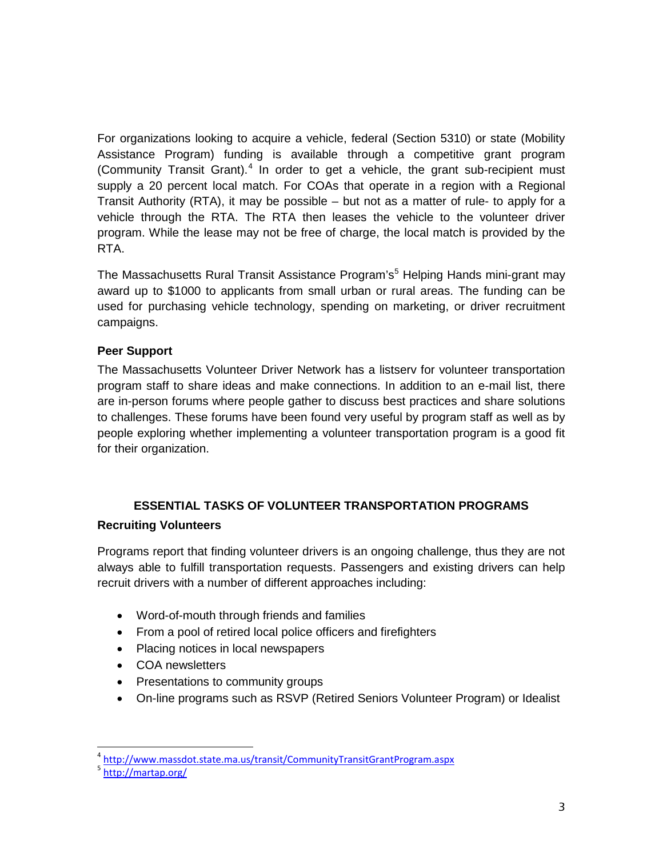For organizations looking to acquire a vehicle, federal (Section 5310) or state (Mobility Assistance Program) funding is available through a competitive grant program (Community Transit Grant).<sup>[4](#page-2-0)</sup> In order to get a vehicle, the grant sub-recipient must supply a 20 percent local match. For COAs that operate in a region with a Regional Transit Authority (RTA), it may be possible – but not as a matter of rule- to apply for a vehicle through the RTA. The RTA then leases the vehicle to the volunteer driver program. While the lease may not be free of charge, the local match is provided by the RTA.

The Massachusetts Rural Transit Assistance Program's<sup>[5](#page-2-1)</sup> Helping Hands mini-grant may award up to \$1000 to applicants from small urban or rural areas. The funding can be used for purchasing vehicle technology, spending on marketing, or driver recruitment campaigns.

# **Peer Support**

The Massachusetts Volunteer Driver Network has a listserv for volunteer transportation program staff to share ideas and make connections. In addition to an e-mail list, there are in-person forums where people gather to discuss best practices and share solutions to challenges. These forums have been found very useful by program staff as well as by people exploring whether implementing a volunteer transportation program is a good fit for their organization.

# **ESSENTIAL TASKS OF VOLUNTEER TRANSPORTATION PROGRAMS Recruiting Volunteers**

Programs report that finding volunteer drivers is an ongoing challenge, thus they are not always able to fulfill transportation requests. Passengers and existing drivers can help recruit drivers with a number of different approaches including:

- Word-of-mouth through friends and families
- From a pool of retired local police officers and firefighters
- Placing notices in local newspapers
- COA newsletters
- Presentations to community groups
- On-line programs such as RSVP (Retired Seniors Volunteer Program) or Idealist

<span id="page-2-0"></span><sup>4</sup> <http://www.massdot.state.ma.us/transit/CommunityTransitGrantProgram.aspx>

<span id="page-2-1"></span><sup>5</sup> <http://martap.org/>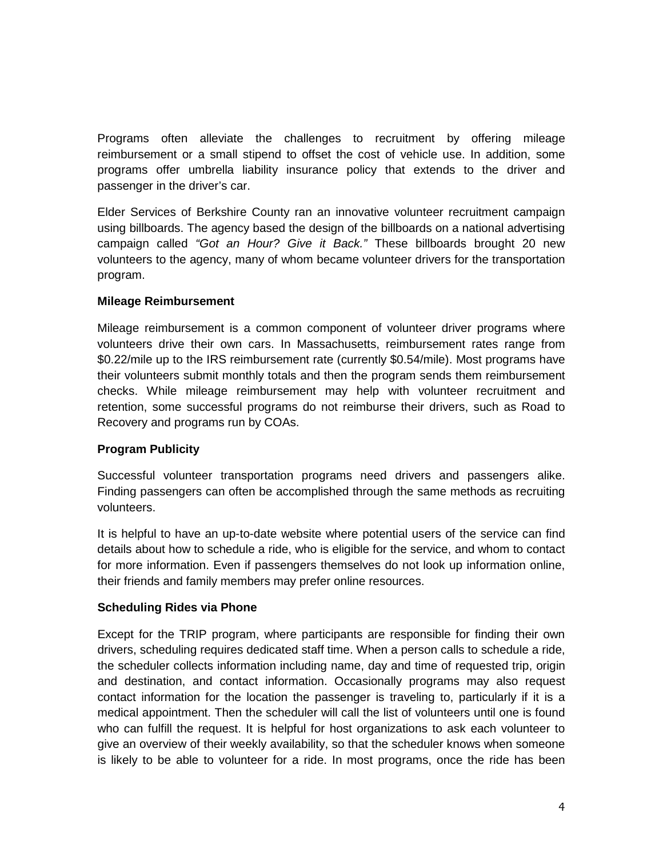Programs often alleviate the challenges to recruitment by offering mileage reimbursement or a small stipend to offset the cost of vehicle use. In addition, some programs offer umbrella liability insurance policy that extends to the driver and passenger in the driver's car.

Elder Services of Berkshire County ran an innovative volunteer recruitment campaign using billboards. The agency based the design of the billboards on a national advertising campaign called *"Got an Hour? Give it Back."* These billboards brought 20 new volunteers to the agency, many of whom became volunteer drivers for the transportation program.

# **Mileage Reimbursement**

Mileage reimbursement is a common component of volunteer driver programs where volunteers drive their own cars. In Massachusetts, reimbursement rates range from \$0.22/mile up to the IRS reimbursement rate (currently \$0.54/mile). Most programs have their volunteers submit monthly totals and then the program sends them reimbursement checks. While mileage reimbursement may help with volunteer recruitment and retention, some successful programs do not reimburse their drivers, such as Road to Recovery and programs run by COAs.

# **Program Publicity**

Successful volunteer transportation programs need drivers and passengers alike. Finding passengers can often be accomplished through the same methods as recruiting volunteers.

It is helpful to have an up-to-date website where potential users of the service can find details about how to schedule a ride, who is eligible for the service, and whom to contact for more information. Even if passengers themselves do not look up information online, their friends and family members may prefer online resources.

#### **Scheduling Rides via Phone**

Except for the TRIP program, where participants are responsible for finding their own drivers, scheduling requires dedicated staff time. When a person calls to schedule a ride, the scheduler collects information including name, day and time of requested trip, origin and destination, and contact information. Occasionally programs may also request contact information for the location the passenger is traveling to, particularly if it is a medical appointment. Then the scheduler will call the list of volunteers until one is found who can fulfill the request. It is helpful for host organizations to ask each volunteer to give an overview of their weekly availability, so that the scheduler knows when someone is likely to be able to volunteer for a ride. In most programs, once the ride has been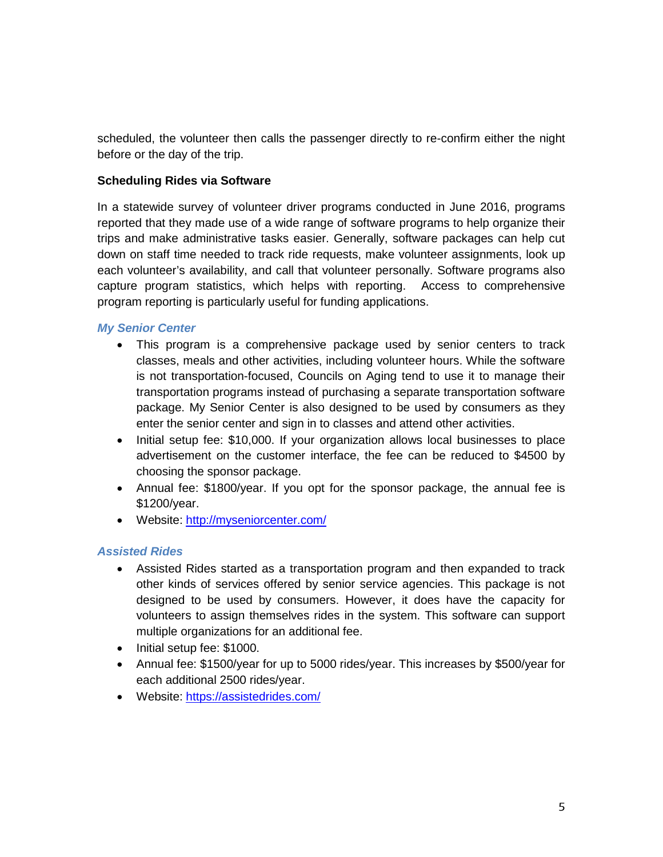scheduled, the volunteer then calls the passenger directly to re-confirm either the night before or the day of the trip.

# **Scheduling Rides via Software**

In a statewide survey of volunteer driver programs conducted in June 2016, programs reported that they made use of a wide range of software programs to help organize their trips and make administrative tasks easier. Generally, software packages can help cut down on staff time needed to track ride requests, make volunteer assignments, look up each volunteer's availability, and call that volunteer personally. Software programs also capture program statistics, which helps with reporting. Access to comprehensive program reporting is particularly useful for funding applications.

# *My Senior Center*

- This program is a comprehensive package used by senior centers to track classes, meals and other activities, including volunteer hours. While the software is not transportation-focused, Councils on Aging tend to use it to manage their transportation programs instead of purchasing a separate transportation software package. My Senior Center is also designed to be used by consumers as they enter the senior center and sign in to classes and attend other activities.
- Initial setup fee: \$10,000. If your organization allows local businesses to place advertisement on the customer interface, the fee can be reduced to \$4500 by choosing the sponsor package.
- Annual fee: \$1800/year. If you opt for the sponsor package, the annual fee is \$1200/year.
- Website:<http://myseniorcenter.com/>

#### *Assisted Rides*

- Assisted Rides started as a transportation program and then expanded to track other kinds of services offered by senior service agencies. This package is not designed to be used by consumers. However, it does have the capacity for volunteers to assign themselves rides in the system. This software can support multiple organizations for an additional fee.
- Initial setup fee: \$1000.
- Annual fee: \$1500/year for up to 5000 rides/year. This increases by \$500/year for each additional 2500 rides/year.
- Website:<https://assistedrides.com/>